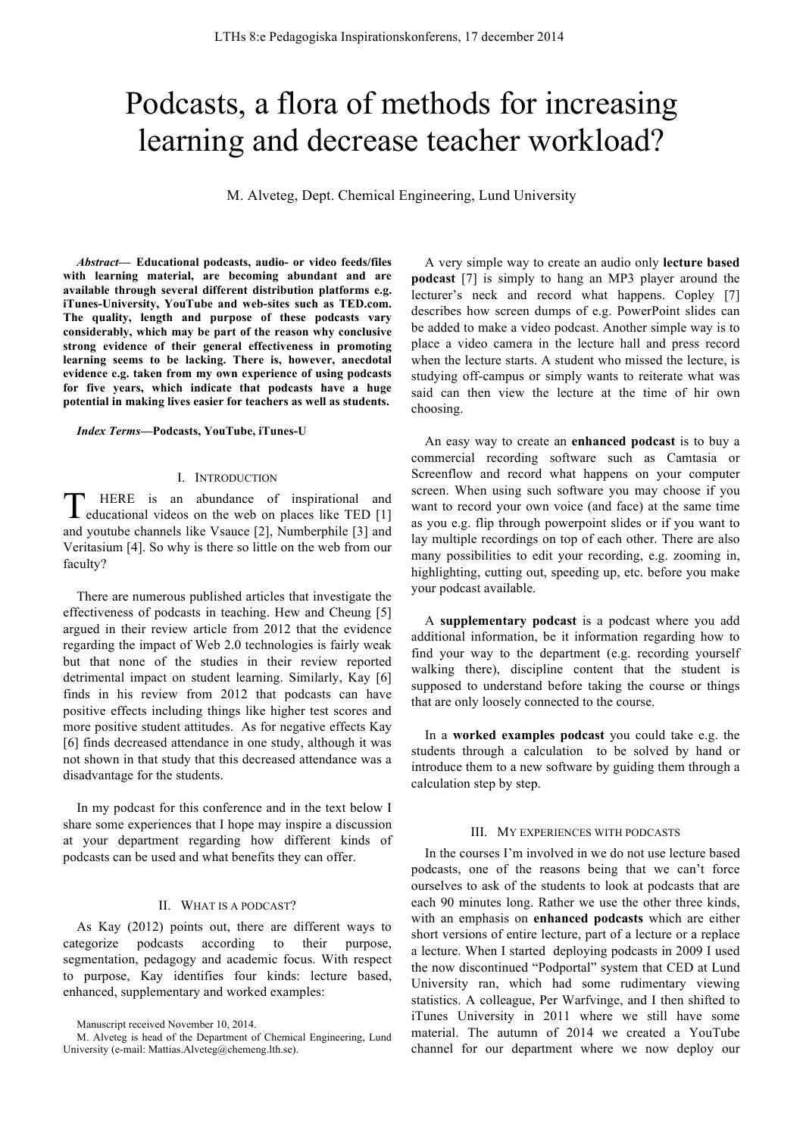# Podcasts, a flora of methods for increasing learning and decrease teacher workload?

M. Alveteg, Dept. Chemical Engineering, Lund University

*Abstract***— Educational podcasts, audio- or video feeds/files with learning material, are becoming abundant and are available through several different distribution platforms e.g. iTunes-University, YouTube and web-sites such as TED.com. The quality, length and purpose of these podcasts vary considerably, which may be part of the reason why conclusive strong evidence of their general effectiveness in promoting learning seems to be lacking. There is, however, anecdotal evidence e.g. taken from my own experience of using podcasts for five years, which indicate that podcasts have a huge potential in making lives easier for teachers as well as students.**

#### *Index Terms***—Podcasts, YouTube, iTunes-U**

#### I. INTRODUCTION

HERE is an abundance of inspirational and THERE is an abundance of inspirational and educational videos on the web on places like TED [1] and youtube channels like Vsauce [2], Numberphile [3] and Veritasium [4]. So why is there so little on the web from our faculty?

There are numerous published articles that investigate the effectiveness of podcasts in teaching. Hew and Cheung [5] argued in their review article from 2012 that the evidence regarding the impact of Web 2.0 technologies is fairly weak but that none of the studies in their review reported detrimental impact on student learning. Similarly, Kay [6] finds in his review from 2012 that podcasts can have positive effects including things like higher test scores and more positive student attitudes. As for negative effects Kay [6] finds decreased attendance in one study, although it was not shown in that study that this decreased attendance was a disadvantage for the students.

In my podcast for this conference and in the text below I share some experiences that I hope may inspire a discussion at your department regarding how different kinds of podcasts can be used and what benefits they can offer.

## II. WHAT IS A PODCAST?

As Kay (2012) points out, there are different ways to categorize podcasts according to their purpose, segmentation, pedagogy and academic focus. With respect to purpose, Kay identifies four kinds: lecture based, enhanced, supplementary and worked examples:

A very simple way to create an audio only **lecture based podcast** [7] is simply to hang an MP3 player around the lecturer's neck and record what happens. Copley [7] describes how screen dumps of e.g. PowerPoint slides can be added to make a video podcast. Another simple way is to place a video camera in the lecture hall and press record when the lecture starts. A student who missed the lecture, is studying off-campus or simply wants to reiterate what was said can then view the lecture at the time of hir own choosing.

An easy way to create an **enhanced podcast** is to buy a commercial recording software such as Camtasia or Screenflow and record what happens on your computer screen. When using such software you may choose if you want to record your own voice (and face) at the same time as you e.g. flip through powerpoint slides or if you want to lay multiple recordings on top of each other. There are also many possibilities to edit your recording, e.g. zooming in, highlighting, cutting out, speeding up, etc. before you make your podcast available.

A **supplementary podcast** is a podcast where you add additional information, be it information regarding how to find your way to the department (e.g. recording yourself walking there), discipline content that the student is supposed to understand before taking the course or things that are only loosely connected to the course.

In a **worked examples podcast** you could take e.g. the students through a calculation to be solved by hand or introduce them to a new software by guiding them through a calculation step by step.

### III. MY EXPERIENCES WITH PODCASTS

In the courses I'm involved in we do not use lecture based podcasts, one of the reasons being that we can't force ourselves to ask of the students to look at podcasts that are each 90 minutes long. Rather we use the other three kinds, with an emphasis on **enhanced podcasts** which are either short versions of entire lecture, part of a lecture or a replace a lecture. When I started deploying podcasts in 2009 I used the now discontinued "Podportal" system that CED at Lund University ran, which had some rudimentary viewing statistics. A colleague, Per Warfvinge, and I then shifted to iTunes University in 2011 where we still have some material. The autumn of 2014 we created a YouTube channel for our department where we now deploy our

Manuscript received November 10, 2014.

M. Alveteg is head of the Department of Chemical Engineering, Lund University (e-mail: Mattias.Alveteg@chemeng.lth.se).